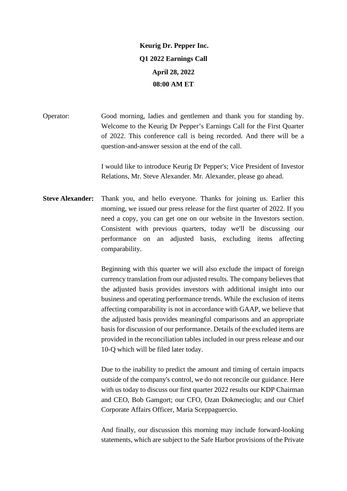## **Keurig Dr. Pepper Inc. Q1 2022 Earnings Call April 28, 2022 08:00 AM ET**

Operator: Good morning, ladies and gentlemen and thank you for standing by. Welcome to the Keurig Dr Pepper's Earnings Call for the First Quarter of 2022. This conference call is being recorded. And there will be a question-and-answer session at the end of the call.

> I would like to introduce Keurig Dr Pepper's; Vice President of Investor Relations, Mr. Steve Alexander. Mr. Alexander, please go ahead.

**Steve Alexander:** Thank you, and hello everyone. Thanks for joining us. Earlier this morning, we issued our press release for the first quarter of 2022. If you need a copy, you can get one on our website in the Investors section. Consistent with previous quarters, today we'll be discussing our performance on an adjusted basis, excluding items affecting comparability.

> Beginning with this quarter we will also exclude the impact of foreign currency translation from our adjusted results. The company believes that the adjusted basis provides investors with additional insight into our business and operating performance trends. While the exclusion of items affecting comparability is not in accordance with GAAP, we believe that the adjusted basis provides meaningful comparisons and an appropriate basis for discussion of our performance. Details of the excluded items are provided in the reconciliation tables included in our press release and our 10-Q which will be filed later today.

> Due to the inability to predict the amount and timing of certain impacts outside of the company's control, we do not reconcile our guidance. Here with us today to discuss our first quarter 2022 results our KDP Chairman and CEO, Bob Gamgort; our CFO, Ozan Dokmecioglu; and our Chief Corporate Affairs Officer, Maria Sceppaguercio.

> And finally, our discussion this morning may include forward-looking statements, which are subject to the Safe Harbor provisions of the Private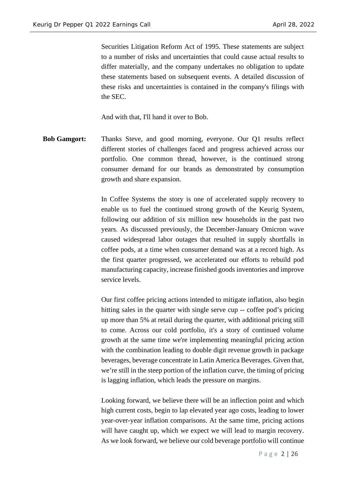Securities Litigation Reform Act of 1995. These statements are subject to a number of risks and uncertainties that could cause actual results to differ materially, and the company undertakes no obligation to update these statements based on subsequent events. A detailed discussion of these risks and uncertainties is contained in the company's filings with the SEC.

And with that, I'll hand it over to Bob.

**Bob Gamgort:** Thanks Steve, and good morning, everyone. Our Q1 results reflect different stories of challenges faced and progress achieved across our portfolio. One common thread, however, is the continued strong consumer demand for our brands as demonstrated by consumption growth and share expansion.

> In Coffee Systems the story is one of accelerated supply recovery to enable us to fuel the continued strong growth of the Keurig System, following our addition of six million new households in the past two years. As discussed previously, the December-January Omicron wave caused widespread labor outages that resulted in supply shortfalls in coffee pods, at a time when consumer demand was at a record high. As the first quarter progressed, we accelerated our efforts to rebuild pod manufacturing capacity, increase finished goods inventories and improve service levels.

> Our first coffee pricing actions intended to mitigate inflation, also begin hitting sales in the quarter with single serve cup -- coffee pod's pricing up more than 5% at retail during the quarter, with additional pricing still to come. Across our cold portfolio, it's a story of continued volume growth at the same time we're implementing meaningful pricing action with the combination leading to double digit revenue growth in package beverages, beverage concentrate in Latin America Beverages. Given that, we're still in the steep portion of the inflation curve, the timing of pricing is lagging inflation, which leads the pressure on margins.

> Looking forward, we believe there will be an inflection point and which high current costs, begin to lap elevated year ago costs, leading to lower year-over-year inflation comparisons. At the same time, pricing actions will have caught up, which we expect we will lead to margin recovery. As we look forward, we believe our cold beverage portfolio will continue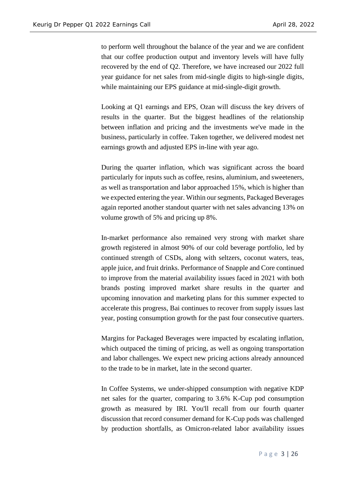to perform well throughout the balance of the year and we are confident that our coffee production output and inventory levels will have fully recovered by the end of Q2. Therefore, we have increased our 2022 full year guidance for net sales from mid-single digits to high-single digits, while maintaining our EPS guidance at mid-single-digit growth.

Looking at Q1 earnings and EPS, Ozan will discuss the key drivers of results in the quarter. But the biggest headlines of the relationship between inflation and pricing and the investments we've made in the business, particularly in coffee. Taken together, we delivered modest net earnings growth and adjusted EPS in-line with year ago.

During the quarter inflation, which was significant across the board particularly for inputs such as coffee, resins, aluminium, and sweeteners, as well as transportation and labor approached 15%, which is higher than we expected entering the year. Within our segments, Packaged Beverages again reported another standout quarter with net sales advancing 13% on volume growth of 5% and pricing up 8%.

In-market performance also remained very strong with market share growth registered in almost 90% of our cold beverage portfolio, led by continued strength of CSDs, along with seltzers, coconut waters, teas, apple juice, and fruit drinks. Performance of Snapple and Core continued to improve from the material availability issues faced in 2021 with both brands posting improved market share results in the quarter and upcoming innovation and marketing plans for this summer expected to accelerate this progress, Bai continues to recover from supply issues last year, posting consumption growth for the past four consecutive quarters.

Margins for Packaged Beverages were impacted by escalating inflation, which outpaced the timing of pricing, as well as ongoing transportation and labor challenges. We expect new pricing actions already announced to the trade to be in market, late in the second quarter.

In Coffee Systems, we under-shipped consumption with negative KDP net sales for the quarter, comparing to 3.6% K-Cup pod consumption growth as measured by IRI. You'll recall from our fourth quarter discussion that record consumer demand for K-Cup pods was challenged by production shortfalls, as Omicron-related labor availability issues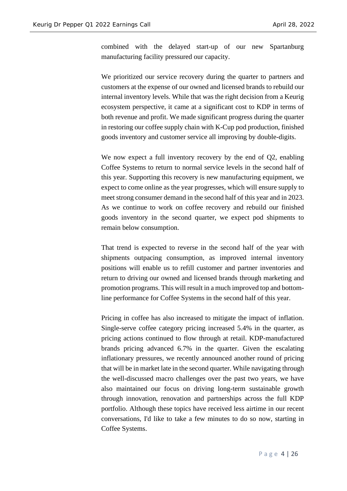combined with the delayed start-up of our new Spartanburg manufacturing facility pressured our capacity.

We prioritized our service recovery during the quarter to partners and customers at the expense of our owned and licensed brands to rebuild our internal inventory levels. While that was the right decision from a Keurig ecosystem perspective, it came at a significant cost to KDP in terms of both revenue and profit. We made significant progress during the quarter in restoring our coffee supply chain with K-Cup pod production, finished goods inventory and customer service all improving by double-digits.

We now expect a full inventory recovery by the end of Q2, enabling Coffee Systems to return to normal service levels in the second half of this year. Supporting this recovery is new manufacturing equipment, we expect to come online as the year progresses, which will ensure supply to meet strong consumer demand in the second half of this year and in 2023. As we continue to work on coffee recovery and rebuild our finished goods inventory in the second quarter, we expect pod shipments to remain below consumption.

That trend is expected to reverse in the second half of the year with shipments outpacing consumption, as improved internal inventory positions will enable us to refill customer and partner inventories and return to driving our owned and licensed brands through marketing and promotion programs. This will result in a much improved top and bottomline performance for Coffee Systems in the second half of this year.

Pricing in coffee has also increased to mitigate the impact of inflation. Single-serve coffee category pricing increased 5.4% in the quarter, as pricing actions continued to flow through at retail. KDP-manufactured brands pricing advanced 6.7% in the quarter. Given the escalating inflationary pressures, we recently announced another round of pricing that will be in market late in the second quarter. While navigating through the well-discussed macro challenges over the past two years, we have also maintained our focus on driving long-term sustainable growth through innovation, renovation and partnerships across the full KDP portfolio. Although these topics have received less airtime in our recent conversations, I'd like to take a few minutes to do so now, starting in Coffee Systems.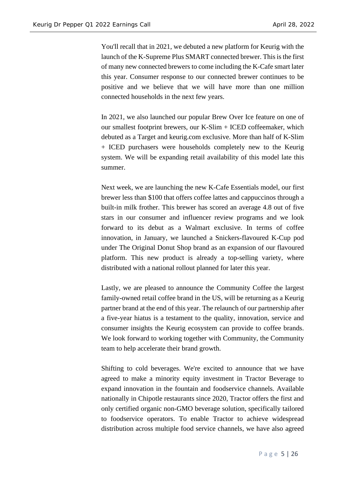You'll recall that in 2021, we debuted a new platform for Keurig with the launch of the K-Supreme Plus SMART connected brewer. This is the first of many new connected brewers to come including the K-Cafe smart later this year. Consumer response to our connected brewer continues to be positive and we believe that we will have more than one million connected households in the next few years.

In 2021, we also launched our popular Brew Over Ice feature on one of our smallest footprint brewers, our K-Slim + ICED coffeemaker, which debuted as a Target and keurig.com exclusive. More than half of K-Slim + ICED purchasers were households completely new to the Keurig system. We will be expanding retail availability of this model late this summer.

Next week, we are launching the new K-Cafe Essentials model, our first brewer less than \$100 that offers coffee lattes and cappuccinos through a built-in milk frother. This brewer has scored an average 4.8 out of five stars in our consumer and influencer review programs and we look forward to its debut as a Walmart exclusive. In terms of coffee innovation, in January, we launched a Snickers-flavoured K-Cup pod under The Original Donut Shop brand as an expansion of our flavoured platform. This new product is already a top-selling variety, where distributed with a national rollout planned for later this year.

Lastly, we are pleased to announce the Community Coffee the largest family-owned retail coffee brand in the US, will be returning as a Keurig partner brand at the end of this year. The relaunch of our partnership after a five-year hiatus is a testament to the quality, innovation, service and consumer insights the Keurig ecosystem can provide to coffee brands. We look forward to working together with Community, the Community team to help accelerate their brand growth.

Shifting to cold beverages. We're excited to announce that we have agreed to make a minority equity investment in Tractor Beverage to expand innovation in the fountain and foodservice channels. Available nationally in Chipotle restaurants since 2020, Tractor offers the first and only certified organic non-GMO beverage solution, specifically tailored to foodservice operators. To enable Tractor to achieve widespread distribution across multiple food service channels, we have also agreed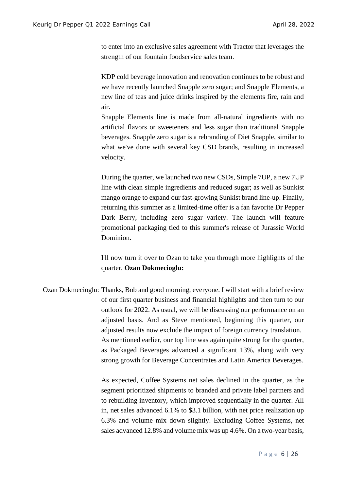to enter into an exclusive sales agreement with Tractor that leverages the strength of our fountain foodservice sales team.

KDP cold beverage innovation and renovation continues to be robust and we have recently launched Snapple zero sugar; and Snapple Elements, a new line of teas and juice drinks inspired by the elements fire, rain and air.

Snapple Elements line is made from all-natural ingredients with no artificial flavors or sweeteners and less sugar than traditional Snapple beverages. Snapple zero sugar is a rebranding of Diet Snapple, similar to what we've done with several key CSD brands, resulting in increased velocity.

During the quarter, we launched two new CSDs, Simple 7UP, a new 7UP line with clean simple ingredients and reduced sugar; as well as Sunkist mango orange to expand our fast-growing Sunkist brand line-up. Finally, returning this summer as a limited-time offer is a fan favorite Dr Pepper Dark Berry, including zero sugar variety. The launch will feature promotional packaging tied to this summer's release of Jurassic World Dominion.

I'll now turn it over to Ozan to take you through more highlights of the quarter. **Ozan Dokmecioglu:**

Ozan Dokmecioglu: Thanks, Bob and good morning, everyone. I will start with a brief review of our first quarter business and financial highlights and then turn to our outlook for 2022. As usual, we will be discussing our performance on an adjusted basis. And as Steve mentioned, beginning this quarter, our adjusted results now exclude the impact of foreign currency translation. As mentioned earlier, our top line was again quite strong for the quarter, as Packaged Beverages advanced a significant 13%, along with very strong growth for Beverage Concentrates and Latin America Beverages.

> As expected, Coffee Systems net sales declined in the quarter, as the segment prioritized shipments to branded and private label partners and to rebuilding inventory, which improved sequentially in the quarter. All in, net sales advanced 6.1% to \$3.1 billion, with net price realization up 6.3% and volume mix down slightly. Excluding Coffee Systems, net sales advanced 12.8% and volume mix was up 4.6%. On a two-year basis,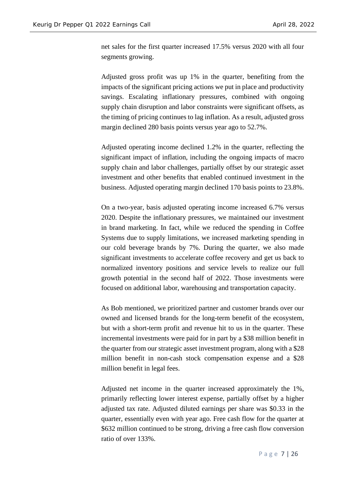net sales for the first quarter increased 17.5% versus 2020 with all four segments growing.

Adjusted gross profit was up 1% in the quarter, benefiting from the impacts of the significant pricing actions we put in place and productivity savings. Escalating inflationary pressures, combined with ongoing supply chain disruption and labor constraints were significant offsets, as the timing of pricing continues to lag inflation. As a result, adjusted gross margin declined 280 basis points versus year ago to 52.7%.

Adjusted operating income declined 1.2% in the quarter, reflecting the significant impact of inflation, including the ongoing impacts of macro supply chain and labor challenges, partially offset by our strategic asset investment and other benefits that enabled continued investment in the business. Adjusted operating margin declined 170 basis points to 23.8%.

On a two-year, basis adjusted operating income increased 6.7% versus 2020. Despite the inflationary pressures, we maintained our investment in brand marketing. In fact, while we reduced the spending in Coffee Systems due to supply limitations, we increased marketing spending in our cold beverage brands by 7%. During the quarter, we also made significant investments to accelerate coffee recovery and get us back to normalized inventory positions and service levels to realize our full growth potential in the second half of 2022. Those investments were focused on additional labor, warehousing and transportation capacity.

As Bob mentioned, we prioritized partner and customer brands over our owned and licensed brands for the long-term benefit of the ecosystem, but with a short-term profit and revenue hit to us in the quarter. These incremental investments were paid for in part by a \$38 million benefit in the quarter from our strategic asset investment program, along with a \$28 million benefit in non-cash stock compensation expense and a \$28 million benefit in legal fees.

Adjusted net income in the quarter increased approximately the 1%, primarily reflecting lower interest expense, partially offset by a higher adjusted tax rate. Adjusted diluted earnings per share was \$0.33 in the quarter, essentially even with year ago. Free cash flow for the quarter at \$632 million continued to be strong, driving a free cash flow conversion ratio of over 133%.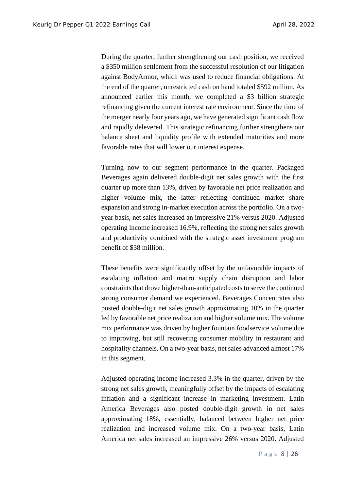During the quarter, further strengthening our cash position, we received a \$350 million settlement from the successful resolution of our litigation against BodyArmor, which was used to reduce financial obligations. At the end of the quarter, unrestricted cash on hand totaled \$592 million. As announced earlier this month, we completed a \$3 billion strategic refinancing given the current interest rate environment. Since the time of the merger nearly four years ago, we have generated significant cash flow and rapidly delevered. This strategic refinancing further strengthens our balance sheet and liquidity profile with extended maturities and more favorable rates that will lower our interest expense.

Turning now to our segment performance in the quarter. Packaged Beverages again delivered double-digit net sales growth with the first quarter up more than 13%, driven by favorable net price realization and higher volume mix, the latter reflecting continued market share expansion and strong in-market execution across the portfolio. On a twoyear basis, net sales increased an impressive 21% versus 2020. Adjusted operating income increased 16.9%, reflecting the strong net sales growth and productivity combined with the strategic asset investment program benefit of \$38 million.

These benefits were significantly offset by the unfavorable impacts of escalating inflation and macro supply chain disruption and labor constraints that drove higher-than-anticipated costs to serve the continued strong consumer demand we experienced. Beverages Concentrates also posted double-digit net sales growth approximating 10% in the quarter led by favorable net price realization and higher volume mix. The volume mix performance was driven by higher fountain foodservice volume due to improving, but still recovering consumer mobility in restaurant and hospitality channels. On a two-year basis, net sales advanced almost 17% in this segment.

Adjusted operating income increased 3.3% in the quarter, driven by the strong net sales growth, meaningfully offset by the impacts of escalating inflation and a significant increase in marketing investment. Latin America Beverages also posted double-digit growth in net sales approximating 18%, essentially, balanced between higher net price realization and increased volume mix. On a two-year basis, Latin America net sales increased an impressive 26% versus 2020. Adjusted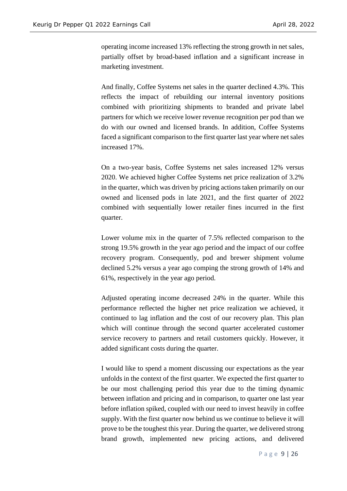operating income increased 13% reflecting the strong growth in net sales, partially offset by broad-based inflation and a significant increase in marketing investment.

And finally, Coffee Systems net sales in the quarter declined 4.3%. This reflects the impact of rebuilding our internal inventory positions combined with prioritizing shipments to branded and private label partners for which we receive lower revenue recognition per pod than we do with our owned and licensed brands. In addition, Coffee Systems faced a significant comparison to the first quarter last year where net sales increased 17%.

On a two-year basis, Coffee Systems net sales increased 12% versus 2020. We achieved higher Coffee Systems net price realization of 3.2% in the quarter, which was driven by pricing actions taken primarily on our owned and licensed pods in late 2021, and the first quarter of 2022 combined with sequentially lower retailer fines incurred in the first quarter.

Lower volume mix in the quarter of 7.5% reflected comparison to the strong 19.5% growth in the year ago period and the impact of our coffee recovery program. Consequently, pod and brewer shipment volume declined 5.2% versus a year ago comping the strong growth of 14% and 61%, respectively in the year ago period.

Adjusted operating income decreased 24% in the quarter. While this performance reflected the higher net price realization we achieved, it continued to lag inflation and the cost of our recovery plan. This plan which will continue through the second quarter accelerated customer service recovery to partners and retail customers quickly. However, it added significant costs during the quarter.

I would like to spend a moment discussing our expectations as the year unfolds in the context of the first quarter. We expected the first quarter to be our most challenging period this year due to the timing dynamic between inflation and pricing and in comparison, to quarter one last year before inflation spiked, coupled with our need to invest heavily in coffee supply. With the first quarter now behind us we continue to believe it will prove to be the toughest this year. During the quarter, we delivered strong brand growth, implemented new pricing actions, and delivered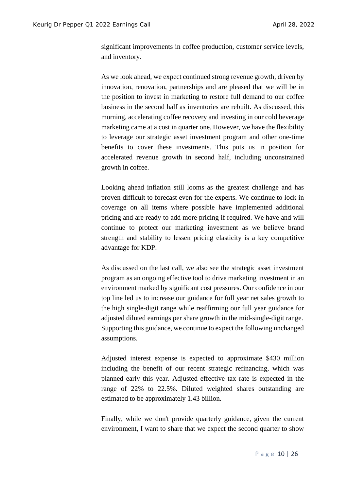significant improvements in coffee production, customer service levels, and inventory.

As we look ahead, we expect continued strong revenue growth, driven by innovation, renovation, partnerships and are pleased that we will be in the position to invest in marketing to restore full demand to our coffee business in the second half as inventories are rebuilt. As discussed, this morning, accelerating coffee recovery and investing in our cold beverage marketing came at a cost in quarter one. However, we have the flexibility to leverage our strategic asset investment program and other one-time benefits to cover these investments. This puts us in position for accelerated revenue growth in second half, including unconstrained growth in coffee.

Looking ahead inflation still looms as the greatest challenge and has proven difficult to forecast even for the experts. We continue to lock in coverage on all items where possible have implemented additional pricing and are ready to add more pricing if required. We have and will continue to protect our marketing investment as we believe brand strength and stability to lessen pricing elasticity is a key competitive advantage for KDP.

As discussed on the last call, we also see the strategic asset investment program as an ongoing effective tool to drive marketing investment in an environment marked by significant cost pressures. Our confidence in our top line led us to increase our guidance for full year net sales growth to the high single-digit range while reaffirming our full year guidance for adjusted diluted earnings per share growth in the mid-single-digit range. Supporting this guidance, we continue to expect the following unchanged assumptions.

Adjusted interest expense is expected to approximate \$430 million including the benefit of our recent strategic refinancing, which was planned early this year. Adjusted effective tax rate is expected in the range of 22% to 22.5%. Diluted weighted shares outstanding are estimated to be approximately 1.43 billion.

Finally, while we don't provide quarterly guidance, given the current environment, I want to share that we expect the second quarter to show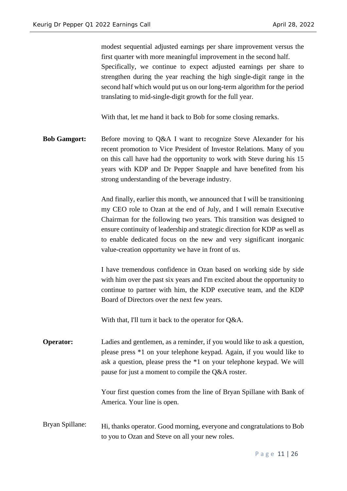modest sequential adjusted earnings per share improvement versus the first quarter with more meaningful improvement in the second half. Specifically, we continue to expect adjusted earnings per share to strengthen during the year reaching the high single-digit range in the second half which would put us on our long-term algorithm for the period translating to mid-single-digit growth for the full year.

With that, let me hand it back to Bob for some closing remarks.

**Bob Gamgort:** Before moving to Q&A I want to recognize Steve Alexander for his recent promotion to Vice President of Investor Relations. Many of you on this call have had the opportunity to work with Steve during his 15 years with KDP and Dr Pepper Snapple and have benefited from his strong understanding of the beverage industry.

> And finally, earlier this month, we announced that I will be transitioning my CEO role to Ozan at the end of July, and I will remain Executive Chairman for the following two years. This transition was designed to ensure continuity of leadership and strategic direction for KDP as well as to enable dedicated focus on the new and very significant inorganic value-creation opportunity we have in front of us.

> I have tremendous confidence in Ozan based on working side by side with him over the past six years and I'm excited about the opportunity to continue to partner with him, the KDP executive team, and the KDP Board of Directors over the next few years.

With that, I'll turn it back to the operator for Q&A.

**Operator:** Ladies and gentlemen, as a reminder, if you would like to ask a question, please press \*1 on your telephone keypad. Again, if you would like to ask a question, please press the \*1 on your telephone keypad. We will pause for just a moment to compile the Q&A roster.

> Your first question comes from the line of Bryan Spillane with Bank of America. Your line is open.

Bryan Spillane: Hi, thanks operator. Good morning, everyone and congratulations to Bob to you to Ozan and Steve on all your new roles.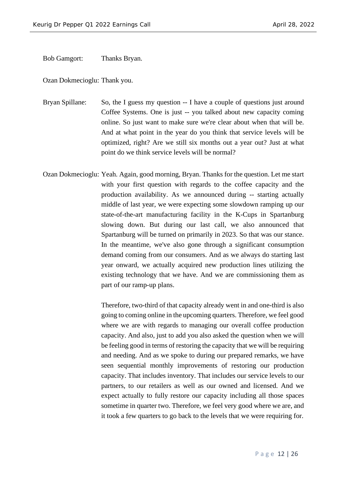Bob Gamgort: Thanks Bryan.

Ozan Dokmecioglu: Thank you.

Bryan Spillane: So, the I guess my question -- I have a couple of questions just around Coffee Systems. One is just -- you talked about new capacity coming online. So just want to make sure we're clear about when that will be. And at what point in the year do you think that service levels will be optimized, right? Are we still six months out a year out? Just at what point do we think service levels will be normal?

Ozan Dokmecioglu: Yeah. Again, good morning, Bryan. Thanks for the question. Let me start with your first question with regards to the coffee capacity and the production availability. As we announced during -- starting actually middle of last year, we were expecting some slowdown ramping up our state-of-the-art manufacturing facility in the K-Cups in Spartanburg slowing down. But during our last call, we also announced that Spartanburg will be turned on primarily in 2023. So that was our stance. In the meantime, we've also gone through a significant consumption demand coming from our consumers. And as we always do starting last year onward, we actually acquired new production lines utilizing the existing technology that we have. And we are commissioning them as part of our ramp-up plans.

> Therefore, two-third of that capacity already went in and one-third is also going to coming online in the upcoming quarters. Therefore, we feel good where we are with regards to managing our overall coffee production capacity. And also, just to add you also asked the question when we will be feeling good in terms of restoring the capacity that we will be requiring and needing. And as we spoke to during our prepared remarks, we have seen sequential monthly improvements of restoring our production capacity. That includes inventory. That includes our service levels to our partners, to our retailers as well as our owned and licensed. And we expect actually to fully restore our capacity including all those spaces sometime in quarter two. Therefore, we feel very good where we are, and it took a few quarters to go back to the levels that we were requiring for.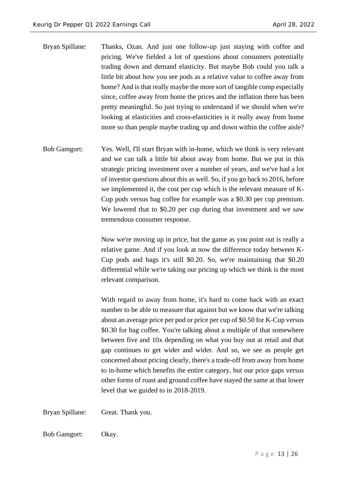- Bryan Spillane: Thanks, Ozan. And just one follow-up just staying with coffee and pricing. We've fielded a lot of questions about consumers potentially trading down and demand elasticity. But maybe Bob could you talk a little bit about how you see pods as a relative value to coffee away from home? And is that really maybe the more sort of tangible comp especially since, coffee away from home the prices and the inflation there has been pretty meaningful. So just trying to understand if we should when we're looking at elasticities and cross-elasticities is it really away from home more so than people maybe trading up and down within the coffee aisle?
- Bob Gamgort: Yes. Well, I'll start Bryan with in-home, which we think is very relevant and we can talk a little bit about away from home. But we put in this strategic pricing investment over a number of years, and we've had a lot of investor questions about this as well. So, if you go back to 2016, before we implemented it, the cost per cup which is the relevant measure of K-Cup pods versus bag coffee for example was a \$0.30 per cup premium. We lowered that to \$0.20 per cup during that investment and we saw tremendous consumer response.

Now we're moving up in price, but the game as you point out is really a relative game. And if you look at now the difference today between K-Cup pods and bags it's still \$0.20. So, we're maintaining that \$0.20 differential while we're taking our pricing up which we think is the most relevant comparison.

With regard to away from home, it's hard to come back with an exact number to be able to measure that against but we know that we're talking about an average price per pod or price per cup of \$0.50 for K-Cup versus \$0.30 for bag coffee. You're talking about a multiple of that somewhere between five and 10x depending on what you buy out at retail and that gap continues to get wider and wider. And so, we see as people get concerned about pricing clearly, there's a trade-off from away from home to in-home which benefits the entire category, but our price gaps versus other forms of roast and ground coffee have stayed the same at that lower level that we guided to in 2018-2019.

Bryan Spillane: Great. Thank you.

Bob Gamgort: Okay.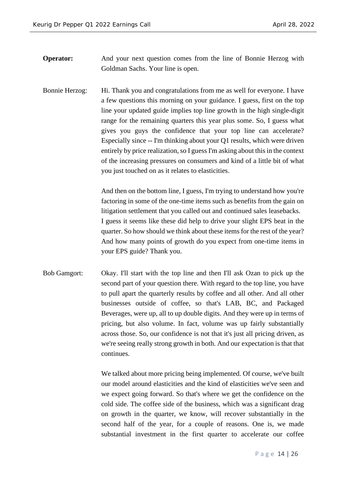**Operator:** And your next question comes from the line of Bonnie Herzog with Goldman Sachs. Your line is open.

Bonnie Herzog: Hi. Thank you and congratulations from me as well for everyone. I have a few questions this morning on your guidance. I guess, first on the top line your updated guide implies top line growth in the high single-digit range for the remaining quarters this year plus some. So, I guess what gives you guys the confidence that your top line can accelerate? Especially since -- I'm thinking about your Q1 results, which were driven entirely by price realization, so I guess I'm asking about this in the context of the increasing pressures on consumers and kind of a little bit of what you just touched on as it relates to elasticities.

> And then on the bottom line, I guess, I'm trying to understand how you're factoring in some of the one-time items such as benefits from the gain on litigation settlement that you called out and continued sales leasebacks. I guess it seems like these did help to drive your slight EPS beat in the quarter. So how should we think about these items for the rest of the year? And how many points of growth do you expect from one-time items in your EPS guide? Thank you.

Bob Gamgort: Okay. I'll start with the top line and then I'll ask Ozan to pick up the second part of your question there. With regard to the top line, you have to pull apart the quarterly results by coffee and all other. And all other businesses outside of coffee, so that's LAB, BC, and Packaged Beverages, were up, all to up double digits. And they were up in terms of pricing, but also volume. In fact, volume was up fairly substantially across those. So, our confidence is not that it's just all pricing driven, as we're seeing really strong growth in both. And our expectation is that that continues.

> We talked about more pricing being implemented. Of course, we've built our model around elasticities and the kind of elasticities we've seen and we expect going forward. So that's where we get the confidence on the cold side. The coffee side of the business, which was a significant drag on growth in the quarter, we know, will recover substantially in the second half of the year, for a couple of reasons. One is, we made substantial investment in the first quarter to accelerate our coffee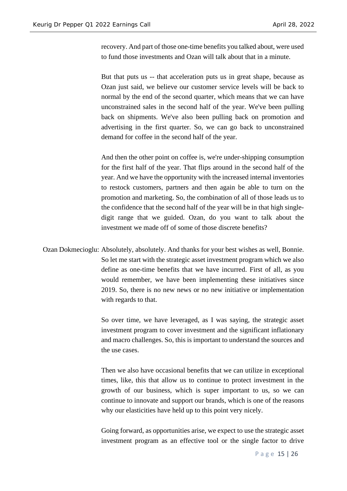recovery. And part of those one-time benefits you talked about, were used to fund those investments and Ozan will talk about that in a minute.

But that puts us -- that acceleration puts us in great shape, because as Ozan just said, we believe our customer service levels will be back to normal by the end of the second quarter, which means that we can have unconstrained sales in the second half of the year. We've been pulling back on shipments. We've also been pulling back on promotion and advertising in the first quarter. So, we can go back to unconstrained demand for coffee in the second half of the year.

And then the other point on coffee is, we're under-shipping consumption for the first half of the year. That flips around in the second half of the year. And we have the opportunity with the increased internal inventories to restock customers, partners and then again be able to turn on the promotion and marketing. So, the combination of all of those leads us to the confidence that the second half of the year will be in that high singledigit range that we guided. Ozan, do you want to talk about the investment we made off of some of those discrete benefits?

Ozan Dokmecioglu: Absolutely, absolutely. And thanks for your best wishes as well, Bonnie. So let me start with the strategic asset investment program which we also define as one-time benefits that we have incurred. First of all, as you would remember, we have been implementing these initiatives since 2019. So, there is no new news or no new initiative or implementation with regards to that.

> So over time, we have leveraged, as I was saying, the strategic asset investment program to cover investment and the significant inflationary and macro challenges. So, this is important to understand the sources and the use cases.

> Then we also have occasional benefits that we can utilize in exceptional times, like, this that allow us to continue to protect investment in the growth of our business, which is super important to us, so we can continue to innovate and support our brands, which is one of the reasons why our elasticities have held up to this point very nicely.

> Going forward, as opportunities arise, we expect to use the strategic asset investment program as an effective tool or the single factor to drive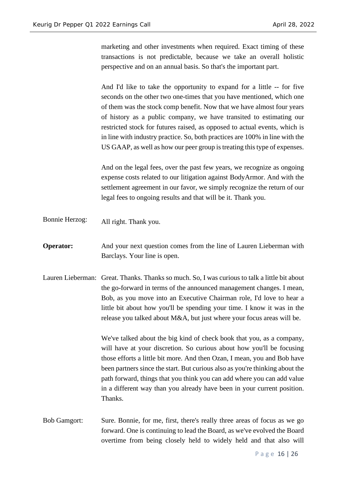marketing and other investments when required. Exact timing of these transactions is not predictable, because we take an overall holistic perspective and on an annual basis. So that's the important part.

And I'd like to take the opportunity to expand for a little -- for five seconds on the other two one-times that you have mentioned, which one of them was the stock comp benefit. Now that we have almost four years of history as a public company, we have transited to estimating our restricted stock for futures raised, as opposed to actual events, which is in line with industry practice. So, both practices are 100% in line with the US GAAP, as well as how our peer group is treating this type of expenses.

And on the legal fees, over the past few years, we recognize as ongoing expense costs related to our litigation against BodyArmor. And with the settlement agreement in our favor, we simply recognize the return of our legal fees to ongoing results and that will be it. Thank you.

- Bonnie Herzog: All right. Thank you.
- **Operator:** And your next question comes from the line of Lauren Lieberman with Barclays. Your line is open.
- Lauren Lieberman: Great. Thanks. Thanks so much. So, I was curious to talk a little bit about the go-forward in terms of the announced management changes. I mean, Bob, as you move into an Executive Chairman role, I'd love to hear a little bit about how you'll be spending your time. I know it was in the release you talked about M&A, but just where your focus areas will be.

We've talked about the big kind of check book that you, as a company, will have at your discretion. So curious about how you'll be focusing those efforts a little bit more. And then Ozan, I mean, you and Bob have been partners since the start. But curious also as you're thinking about the path forward, things that you think you can add where you can add value in a different way than you already have been in your current position. Thanks.

Bob Gamgort: Sure. Bonnie, for me, first, there's really three areas of focus as we go forward. One is continuing to lead the Board, as we've evolved the Board overtime from being closely held to widely held and that also will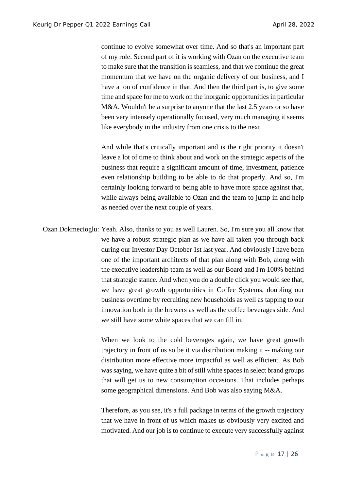continue to evolve somewhat over time. And so that's an important part of my role. Second part of it is working with Ozan on the executive team to make sure that the transition is seamless, and that we continue the great momentum that we have on the organic delivery of our business, and I have a ton of confidence in that. And then the third part is, to give some time and space for me to work on the inorganic opportunities in particular M&A. Wouldn't be a surprise to anyone that the last 2.5 years or so have been very intensely operationally focused, very much managing it seems like everybody in the industry from one crisis to the next.

And while that's critically important and is the right priority it doesn't leave a lot of time to think about and work on the strategic aspects of the business that require a significant amount of time, investment, patience even relationship building to be able to do that properly. And so, I'm certainly looking forward to being able to have more space against that, while always being available to Ozan and the team to jump in and help as needed over the next couple of years.

Ozan Dokmecioglu: Yeah. Also, thanks to you as well Lauren. So, I'm sure you all know that we have a robust strategic plan as we have all taken you through back during our Investor Day October 1st last year. And obviously I have been one of the important architects of that plan along with Bob, along with the executive leadership team as well as our Board and I'm 100% behind that strategic stance. And when you do a double click you would see that, we have great growth opportunities in Coffee Systems, doubling our business overtime by recruiting new households as well as tapping to our innovation both in the brewers as well as the coffee beverages side. And we still have some white spaces that we can fill in.

> When we look to the cold beverages again, we have great growth trajectory in front of us so be it via distribution making it -- making our distribution more effective more impactful as well as efficient. As Bob was saying, we have quite a bit of still white spaces in select brand groups that will get us to new consumption occasions. That includes perhaps some geographical dimensions. And Bob was also saying M&A.

> Therefore, as you see, it's a full package in terms of the growth trajectory that we have in front of us which makes us obviously very excited and motivated. And our job is to continue to execute very successfully against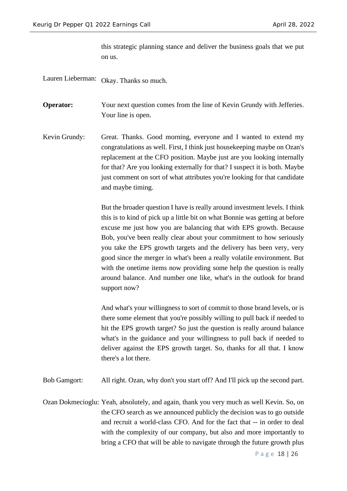this strategic planning stance and deliver the business goals that we put on us.

Lauren Lieberman: Okay. Thanks so much.

**Operator:** Your next question comes from the line of Kevin Grundy with Jefferies. Your line is open.

Kevin Grundy: Great. Thanks. Good morning, everyone and I wanted to extend my congratulations as well. First, I think just housekeeping maybe on Ozan's replacement at the CFO position. Maybe just are you looking internally for that? Are you looking externally for that? I suspect it is both. Maybe just comment on sort of what attributes you're looking for that candidate and maybe timing.

> But the broader question I have is really around investment levels. I think this is to kind of pick up a little bit on what Bonnie was getting at before excuse me just how you are balancing that with EPS growth. Because Bob, you've been really clear about your commitment to how seriously you take the EPS growth targets and the delivery has been very, very good since the merger in what's been a really volatile environment. But with the onetime items now providing some help the question is really around balance. And number one like, what's in the outlook for brand support now?

> And what's your willingness to sort of commit to those brand levels, or is there some element that you're possibly willing to pull back if needed to hit the EPS growth target? So just the question is really around balance what's in the guidance and your willingness to pull back if needed to deliver against the EPS growth target. So, thanks for all that. I know there's a lot there.

Bob Gamgort: All right. Ozan, why don't you start off? And I'll pick up the second part.

Ozan Dokmecioglu: Yeah, absolutely, and again, thank you very much as well Kevin. So, on the CFO search as we announced publicly the decision was to go outside and recruit a world-class CFO. And for the fact that -- in order to deal with the complexity of our company, but also and more importantly to bring a CFO that will be able to navigate through the future growth plus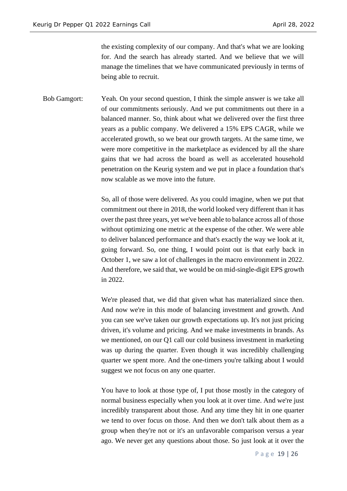the existing complexity of our company. And that's what we are looking for. And the search has already started. And we believe that we will manage the timelines that we have communicated previously in terms of being able to recruit.

Bob Gamgort: Yeah. On your second question, I think the simple answer is we take all of our commitments seriously. And we put commitments out there in a balanced manner. So, think about what we delivered over the first three years as a public company. We delivered a 15% EPS CAGR, while we accelerated growth, so we beat our growth targets. At the same time, we were more competitive in the marketplace as evidenced by all the share gains that we had across the board as well as accelerated household penetration on the Keurig system and we put in place a foundation that's now scalable as we move into the future.

> So, all of those were delivered. As you could imagine, when we put that commitment out there in 2018, the world looked very different than it has over the past three years, yet we've been able to balance across all of those without optimizing one metric at the expense of the other. We were able to deliver balanced performance and that's exactly the way we look at it, going forward. So, one thing, I would point out is that early back in October 1, we saw a lot of challenges in the macro environment in 2022. And therefore, we said that, we would be on mid-single-digit EPS growth in 2022.

> We're pleased that, we did that given what has materialized since then. And now we're in this mode of balancing investment and growth. And you can see we've taken our growth expectations up. It's not just pricing driven, it's volume and pricing. And we make investments in brands. As we mentioned, on our Q1 call our cold business investment in marketing was up during the quarter. Even though it was incredibly challenging quarter we spent more. And the one-timers you're talking about I would suggest we not focus on any one quarter.

> You have to look at those type of, I put those mostly in the category of normal business especially when you look at it over time. And we're just incredibly transparent about those. And any time they hit in one quarter we tend to over focus on those. And then we don't talk about them as a group when they're not or it's an unfavorable comparison versus a year ago. We never get any questions about those. So just look at it over the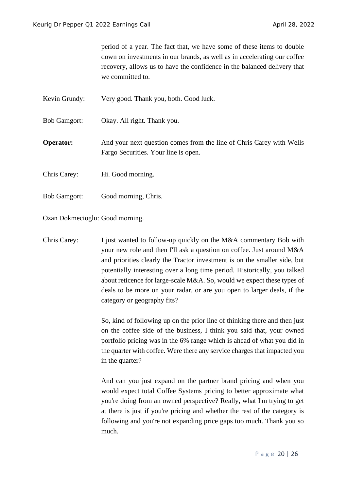period of a year. The fact that, we have some of these items to double down on investments in our brands, as well as in accelerating our coffee recovery, allows us to have the confidence in the balanced delivery that we committed to.

Kevin Grundy: Very good. Thank you, both. Good luck.

Bob Gamgort: Okay. All right. Thank you.

**Operator:** And your next question comes from the line of Chris Carey with Wells Fargo Securities. Your line is open.

Chris Carey: Hi. Good morning.

Bob Gamgort: Good morning, Chris.

Ozan Dokmecioglu: Good morning.

Chris Carey: I just wanted to follow-up quickly on the M&A commentary Bob with your new role and then I'll ask a question on coffee. Just around M&A and priorities clearly the Tractor investment is on the smaller side, but potentially interesting over a long time period. Historically, you talked about reticence for large-scale M&A. So, would we expect these types of deals to be more on your radar, or are you open to larger deals, if the category or geography fits?

> So, kind of following up on the prior line of thinking there and then just on the coffee side of the business, I think you said that, your owned portfolio pricing was in the 6% range which is ahead of what you did in the quarter with coffee. Were there any service charges that impacted you in the quarter?

> And can you just expand on the partner brand pricing and when you would expect total Coffee Systems pricing to better approximate what you're doing from an owned perspective? Really, what I'm trying to get at there is just if you're pricing and whether the rest of the category is following and you're not expanding price gaps too much. Thank you so much.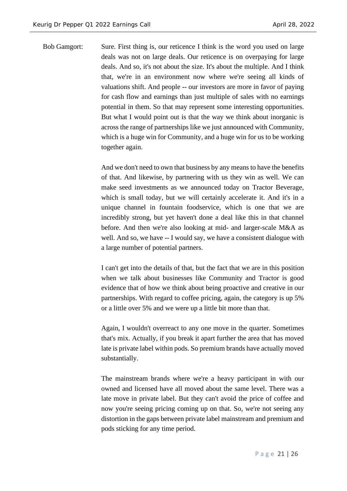Bob Gamgort: Sure. First thing is, our reticence I think is the word you used on large deals was not on large deals. Our reticence is on overpaying for large deals. And so, it's not about the size. It's about the multiple. And I think that, we're in an environment now where we're seeing all kinds of valuations shift. And people -- our investors are more in favor of paying for cash flow and earnings than just multiple of sales with no earnings potential in them. So that may represent some interesting opportunities. But what I would point out is that the way we think about inorganic is across the range of partnerships like we just announced with Community, which is a huge win for Community, and a huge win for us to be working together again.

> And we don't need to own that business by any means to have the benefits of that. And likewise, by partnering with us they win as well. We can make seed investments as we announced today on Tractor Beverage, which is small today, but we will certainly accelerate it. And it's in a unique channel in fountain foodservice, which is one that we are incredibly strong, but yet haven't done a deal like this in that channel before. And then we're also looking at mid- and larger-scale M&A as well. And so, we have -- I would say, we have a consistent dialogue with a large number of potential partners.

> I can't get into the details of that, but the fact that we are in this position when we talk about businesses like Community and Tractor is good evidence that of how we think about being proactive and creative in our partnerships. With regard to coffee pricing, again, the category is up 5% or a little over 5% and we were up a little bit more than that.

> Again, I wouldn't overreact to any one move in the quarter. Sometimes that's mix. Actually, if you break it apart further the area that has moved late is private label within pods. So premium brands have actually moved substantially.

> The mainstream brands where we're a heavy participant in with our owned and licensed have all moved about the same level. There was a late move in private label. But they can't avoid the price of coffee and now you're seeing pricing coming up on that. So, we're not seeing any distortion in the gaps between private label mainstream and premium and pods sticking for any time period.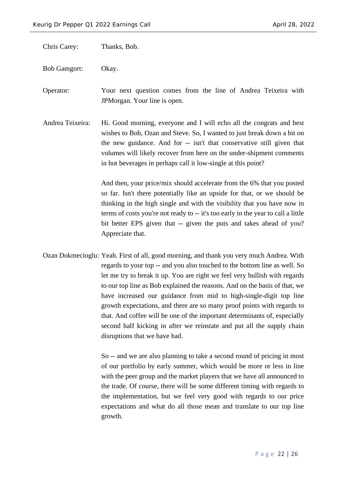Chris Carey: Thanks, Bob.

Bob Gamgort: Okay.

Operator: Your next question comes from the line of Andrea Teixeira with JPMorgan. Your line is open.

Andrea Teixeira: Hi. Good morning, everyone and I will echo all the congrats and best wishes to Bob, Ozan and Steve. So, I wanted to just break down a bit on the new guidance. And for -- isn't that conservative still given that volumes will likely recover from here on the under-shipment comments in hot beverages in perhaps call it low-single at this point?

> And then, your price/mix should accelerate from the 6% that you posted so far. Isn't there potentially like an upside for that, or we should be thinking in the high single and with the visibility that you have now in terms of costs you're not ready to -- it's too early in the year to call a little bit better EPS given that -- given the puts and takes ahead of you? Appreciate that.

Ozan Dokmecioglu: Yeah. First of all, good morning, and thank you very much Andrea. With regards to your top -- and you also touched to the bottom line as well. So let me try to break it up. You are right we feel very bullish with regards to our top line as Bob explained the reasons. And on the basis of that, we have increased our guidance from mid to high-single-digit top line growth expectations, and there are so many proof points with regards to that. And coffee will be one of the important determinants of, especially second half kicking in after we reinstate and put all the supply chain disruptions that we have had.

> So -- and we are also planning to take a second round of pricing in most of our portfolio by early summer, which would be more or less in line with the peer group and the market players that we have all announced to the trade. Of course, there will be some different timing with regards to the implementation, but we feel very good with regards to our price expectations and what do all those mean and translate to our top line growth.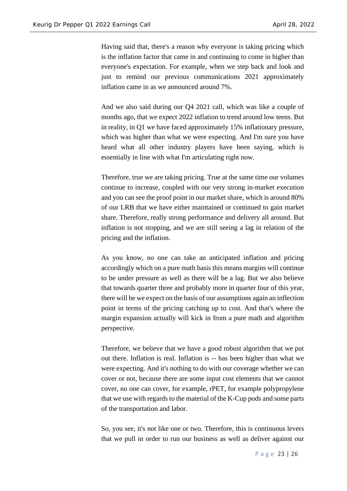Having said that, there's a reason why everyone is taking pricing which is the inflation factor that came in and continuing to come in higher than everyone's expectation. For example, when we step back and look and just to remind our previous communications 2021 approximately inflation came in as we announced around 7%.

And we also said during our Q4 2021 call, which was like a couple of months ago, that we expect 2022 inflation to trend around low teens. But in reality, in Q1 we have faced approximately 15% inflationary pressure, which was higher than what we were expecting. And I'm sure you have heard what all other industry players have been saying, which is essentially in line with what I'm articulating right now.

Therefore, true we are taking pricing. True at the same time our volumes continue to increase, coupled with our very strong in-market execution and you can see the proof point in our market share, which is around 80% of our LRB that we have either maintained or continued to gain market share. Therefore, really strong performance and delivery all around. But inflation is not stopping, and we are still seeing a lag in relation of the pricing and the inflation.

As you know, no one can take an anticipated inflation and pricing accordingly which on a pure math basis this means margins will continue to be under pressure as well as there will be a lag. But we also believe that towards quarter three and probably more in quarter four of this year, there will be we expect on the basis of our assumptions again an inflection point in terms of the pricing catching up to cost. And that's where the margin expansion actually will kick in from a pure math and algorithm perspective.

Therefore, we believe that we have a good robust algorithm that we put out there. Inflation is real. Inflation is -- has been higher than what we were expecting. And it's nothing to do with our coverage whether we can cover or not, because there are some input cost elements that we cannot cover, no one can cover, for example, rPET, for example polypropylene that we use with regards to the material of the K-Cup pods and some parts of the transportation and labor.

So, you see, it's not like one or two. Therefore, this is continuous levers that we pull in order to run our business as well as deliver against our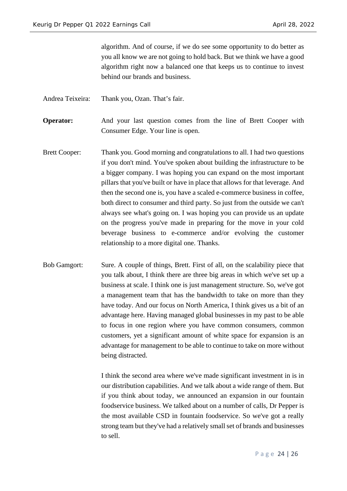algorithm. And of course, if we do see some opportunity to do better as you all know we are not going to hold back. But we think we have a good algorithm right now a balanced one that keeps us to continue to invest behind our brands and business.

Andrea Teixeira: Thank you, Ozan. That's fair.

**Operator:** And your last question comes from the line of Brett Cooper with Consumer Edge. Your line is open.

- Brett Cooper: Thank you. Good morning and congratulations to all. I had two questions if you don't mind. You've spoken about building the infrastructure to be a bigger company. I was hoping you can expand on the most important pillars that you've built or have in place that allows for that leverage. And then the second one is, you have a scaled e-commerce business in coffee, both direct to consumer and third party. So just from the outside we can't always see what's going on. I was hoping you can provide us an update on the progress you've made in preparing for the move in your cold beverage business to e-commerce and/or evolving the customer relationship to a more digital one. Thanks.
- Bob Gamgort: Sure. A couple of things, Brett. First of all, on the scalability piece that you talk about, I think there are three big areas in which we've set up a business at scale. I think one is just management structure. So, we've got a management team that has the bandwidth to take on more than they have today. And our focus on North America, I think gives us a bit of an advantage here. Having managed global businesses in my past to be able to focus in one region where you have common consumers, common customers, yet a significant amount of white space for expansion is an advantage for management to be able to continue to take on more without being distracted.

I think the second area where we've made significant investment in is in our distribution capabilities. And we talk about a wide range of them. But if you think about today, we announced an expansion in our fountain foodservice business. We talked about on a number of calls, Dr Pepper is the most available CSD in fountain foodservice. So we've got a really strong team but they've had a relatively small set of brands and businesses to sell.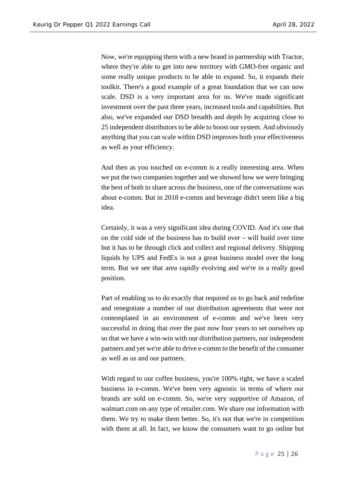Now, we're equipping them with a new brand in partnership with Tractor, where they're able to get into new territory with GMO-free organic and some really unique products to be able to expand. So, it expands their toolkit. There's a good example of a great foundation that we can now scale. DSD is a very important area for us. We've made significant investment over the past three years, increased tools and capabilities. But also, we've expanded our DSD breadth and depth by acquiring close to 25 independent distributors to be able to boost our system. And obviously anything that you can scale within DSD improves both your effectiveness as well as your efficiency.

And then as you touched on e-comm is a really interesting area. When we put the two companies together and we showed how we were bringing the best of both to share across the business, one of the conversations was about e-comm. But in 2018 e-comm and beverage didn't seem like a big idea.

Certainly, it was a very significant idea during COVID. And it's one that on the cold side of the business has to build over – will build over time but it has to be through click and collect and regional delivery. Shipping liquids by UPS and FedEx is not a great business model over the long term. But we see that area rapidly evolving and we're in a really good position.

Part of enabling us to do exactly that required us to go back and redefine and renegotiate a number of our distribution agreements that were not contemplated in an environment of e-comm and we've been very successful in doing that over the past now four years to set ourselves up so that we have a win-win with our distribution partners, our independent partners and yet we're able to drive e-comm to the benefit of the consumer as well as us and our partners.

With regard to our coffee business, you're 100% right, we have a scaled business in e-comm. We've been very agnostic in terms of where our brands are sold on e-comm. So, we're very supportive of Amazon, of walmart.com on any type of retailer.com. We share our information with them. We try to make them better. So, it's not that we're in competition with them at all. In fact, we know the consumers want to go online but